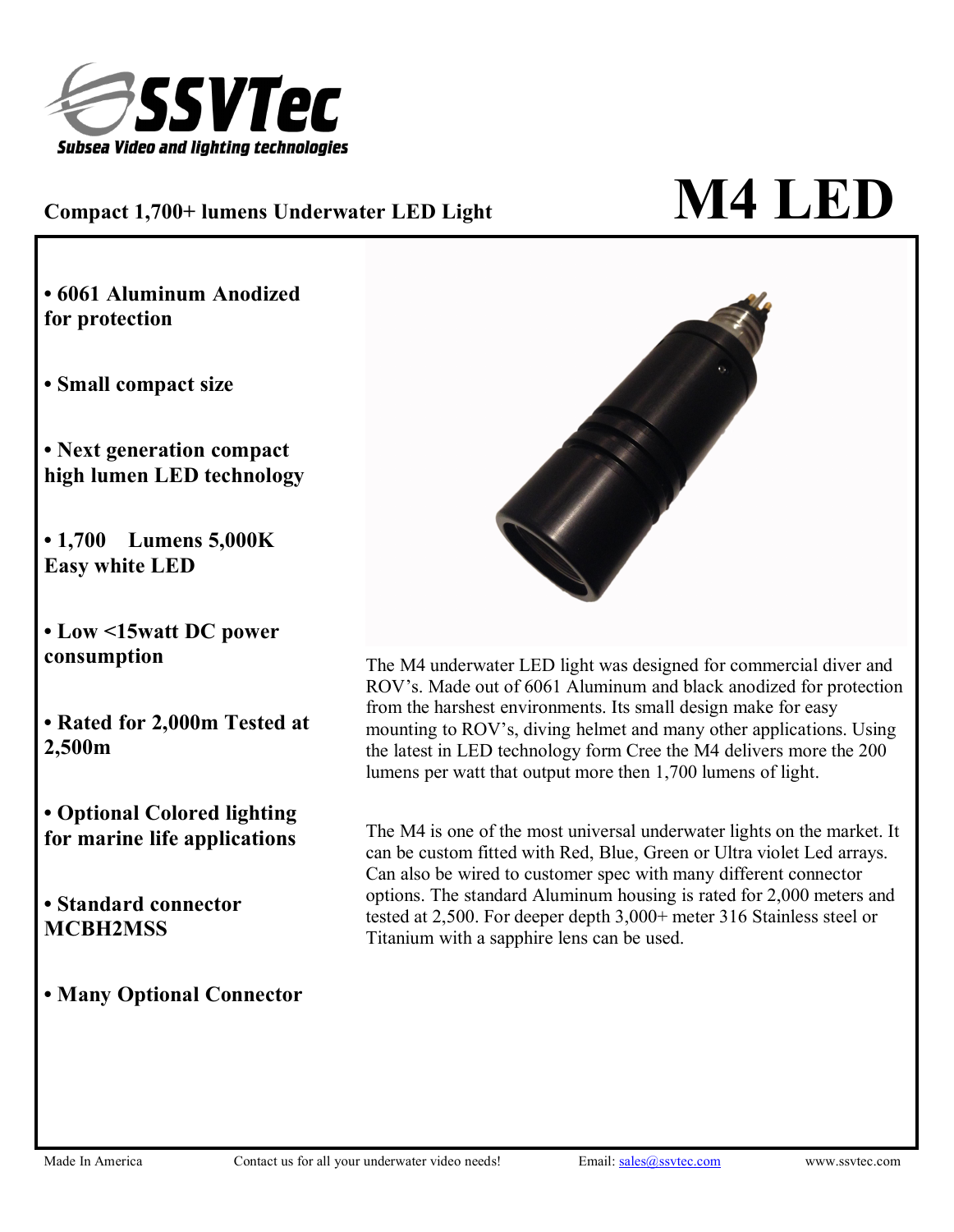

## $\bf C$ ompact 1,700+ lumens <code>Underwater</code> <code>LED</code> Light $\bf M4$  <code>LED</code>

**• 6061 Aluminum Anodized for protection**

**• Small compact size**

**• Next generation compact high lumen LED technology**

**• 1,700 Lumens 5,000K Easy white LED**

**• Low <15watt DC power consumption**

**• Rated for 2,000m Tested at**

**• Optional Colored lighting for marine life applications**

**• Standard connector MCBH2MSS**

**• Many Optional Connector**



**2,500m** the latest in LED technology form Cree the M4 delivers more the 200 The M4 underwater LED light was designed for commercial diver and ROV's. Made out of 6061 Aluminum and black anodized for protection from the harshest environments. Its small design make for easy mounting to ROV's, diving helmet and many other applications. Using lumens per watt that output more then 1,700 lumens of light.

> The M4 is one of the most universal underwater lights on the market. It can be custom fitted with Red, Blue, Green or Ultra violet Led arrays. Can also be wired to customer spec with many different connector options. The standard Aluminum housing is rated for 2,000 meters and tested at 2,500. For deeper depth 3,000+ meter 316 Stainless steel or Titanium with a sapphire lens can be used.